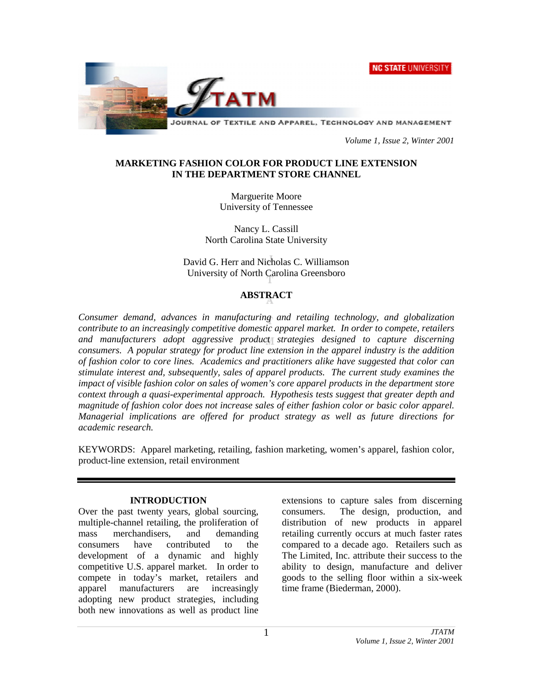**NC STATE UNIVERSITY** 



*Volume 1, Issue 2, Winter 2001*

# **MARKETING FASHION COLOR FOR PRODUCT LINE EXTENSION IN THE DEPARTMENT STORE CHANNEL**

Marguerite Moore University of Tennessee

Nancy L. Cassill North Carolina State University

David G. Herr and Nicholas C. Williamson University of North Carolina Greensboro

# **ABSTRACT**

*Consumer demand, advances in manufacturing and retailing technology, and globalization contribute to an increasingly competitive domestic apparel market. In order to compete, retailers and manufacturers adopt aggressive product strategies designed to capture discerning consumers. A popular strategy for product line extension in the apparel industry is the addition of fashion color to core lines. Academics and practitioners alike have suggested that color can stimulate interest and, subsequently, sales of apparel products. The current study examines the impact of visible fashion color on sales of women's core apparel products in the department store context through a quasi-experimental approach. Hypothesis tests suggest that greater depth and magnitude of fashion color does not increase sales of either fashion color or basic color apparel. Managerial implications are offered for product strategy as well as future directions for academic research.*

KEYWORDS: Apparel marketing, retailing, fashion marketing, women's apparel, fashion color, product-line extension, retail environment

# **INTRODUCTION**

Over the past twenty years, global sourcing, multiple-channel retailing, the proliferation of mass merchandisers, and demanding consumers have contributed to the development of a dynamic and highly competitive U.S. apparel market. In order to compete in today's market, retailers and apparel manufacturers are increasingly adopting new product strategies, including both new innovations as well as product line extensions to capture sales from discerning consumers. The design, production, and distribution of new products in apparel retailing currently occurs at much faster rates compared to a decade ago. Retailers such as The Limited, Inc. attribute their success to the ability to design, manufacture and deliver goods to the selling floor within a six-week time frame (Biederman, 2000).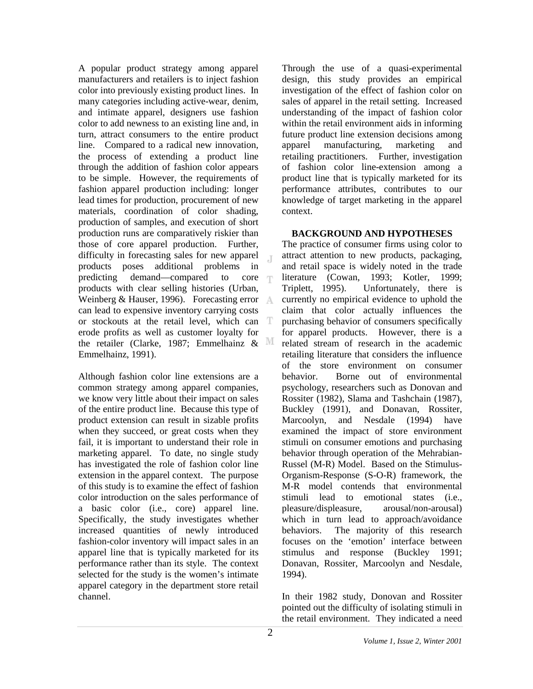A popular product strategy among apparel manufacturers and retailers is to inject fashion color into previously existing product lines. In many categories including active-wear, denim, and intimate apparel, designers use fashion color to add newness to an existing line and, in turn, attract consumers to the entire product line. Compared to a radical new innovation, the process of extending a product line through the addition of fashion color appears to be simple. However, the requirements of fashion apparel production including: longer lead times for production, procurement of new materials, coordination of color shading, production of samples, and execution of short production runs are comparatively riskier than those of core apparel production. Further, difficulty in forecasting sales for new apparel  $\mathbb{I}$ products poses additional problems in predicting demand—compared to core products with clear selling histories (Urban, Weinberg & Hauser, 1996). Forecasting error can lead to expensive inventory carrying costs or stockouts at the retail level, which can erode profits as well as customer loyalty for the retailer (Clarke, 1987; Emmelhainz  $\&$  M Emmelhainz, 1991).

Although fashion color line extensions are a common strategy among apparel companies, we know very little about their impact on sales of the entire product line. Because this type of product extension can result in sizable profits when they succeed, or great costs when they fail, it is important to understand their role in marketing apparel. To date, no single study has investigated the role of fashion color line extension in the apparel context. The purpose of this study is to examine the effect of fashion color introduction on the sales performance of a basic color (i.e., core) apparel line. Specifically, the study investigates whether increased quantities of newly introduced fashion-color inventory will impact sales in an apparel line that is typically marketed for its performance rather than its style. The context selected for the study is the women's intimate apparel category in the department store retail channel.

Through the use of a quasi-experimental design, this study provides an empirical investigation of the effect of fashion color on sales of apparel in the retail setting. Increased understanding of the impact of fashion color within the retail environment aids in informing future product line extension decisions among apparel manufacturing, marketing and retailing practitioners. Further, investigation of fashion color line-extension among a product line that is typically marketed for its performance attributes, contributes to our knowledge of target marketing in the apparel context.

## **BACKGROUND AND HYPOTHESES**

The practice of consumer firms using color to attract attention to new products, packaging, and retail space is widely noted in the trade literature (Cowan, 1993; Kotler, 1999; Triplett, 1995). Unfortunately, there is currently no empirical evidence to uphold the claim that color actually influences the purchasing behavior of consumers specifically for apparel products. However, there is a related stream of research in the academic retailing literature that considers the influence of the store environment on consumer behavior. Borne out of environmental psychology, researchers such as Donovan and Rossiter (1982), Slama and Tashchain (1987), Buckley (1991), and Donavan, Rossiter, Marcoolyn, and Nesdale (1994) have examined the impact of store environment stimuli on consumer emotions and purchasing behavior through operation of the Mehrabian-Russel (M-R) Model. Based on the Stimulus-Organism-Response (S-O-R) framework, the M-R model contends that environmental stimuli lead to emotional states (i.e., pleasure/displeasure, arousal/non-arousal) which in turn lead to approach/avoidance behaviors. The majority of this research focuses on the 'emotion' interface between stimulus and response (Buckley 1991; Donavan, Rossiter, Marcoolyn and Nesdale, 1994).

In their 1982 study, Donovan and Rossiter pointed out the difficulty of isolating stimuli in the retail environment. They indicated a need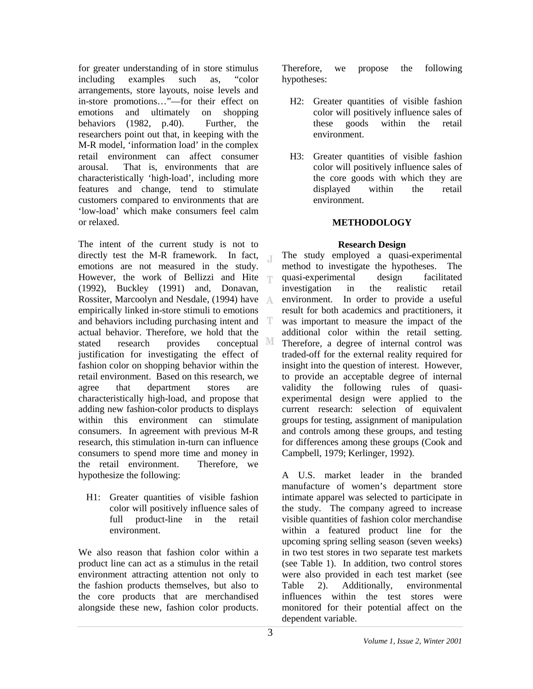for greater understanding of in store stimulus including examples such as, "color arrangements, store layouts, noise levels and in-store promotions…"—for their effect on emotions and ultimately on shopping behaviors (1982, p.40). Further, the researchers point out that, in keeping with the M-R model, 'information load' in the complex retail environment can affect consumer arousal. That is, environments that are characteristically 'high-load', including more features and change, tend to stimulate customers compared to environments that are 'low-load' which make consumers feel calm or relaxed.

The intent of the current study is not to directly test the M-R framework. In fact,  $\mathbb{I}$ emotions are not measured in the study. However, the work of Bellizzi and Hite (1992), Buckley (1991) and, Donavan, Rossiter, Marcoolyn and Nesdale, (1994) have empirically linked in-store stimuli to emotions and behaviors including purchasing intent and T actual behavior. Therefore, we hold that the stated research provides conceptual M justification for investigating the effect of fashion color on shopping behavior within the retail environment. Based on this research, we agree that department stores are characteristically high-load, and propose that adding new fashion-color products to displays within this environment can stimulate consumers. In agreement with previous M-R research, this stimulation in-turn can influence consumers to spend more time and money in the retail environment. Therefore, we hypothesize the following:

H1: Greater quantities of visible fashion color will positively influence sales of full product-line in the retail environment.

We also reason that fashion color within a product line can act as a stimulus in the retail environment attracting attention not only to the fashion products themselves, but also to the core products that are merchandised alongside these new, fashion color products.

Therefore, we propose the following hypotheses:

- H2: Greater quantities of visible fashion color will positively influence sales of these goods within the retail environment.
- H3: Greater quantities of visible fashion color will positively influence sales of the core goods with which they are displayed within the retail environment.

# **METHODOLOGY**

# **Research Design**

The study employed a quasi-experimental method to investigate the hypotheses. The quasi-experimental design facilitated investigation in the realistic retail environment. In order to provide a useful result for both academics and practitioners, it was important to measure the impact of the additional color within the retail setting. Therefore, a degree of internal control was traded-off for the external reality required for insight into the question of interest. However, to provide an acceptable degree of internal validity the following rules of quasiexperimental design were applied to the current research: selection of equivalent groups for testing, assignment of manipulation and controls among these groups, and testing for differences among these groups (Cook and Campbell, 1979; Kerlinger, 1992).

A U.S. market leader in the branded manufacture of women's department store intimate apparel was selected to participate in the study. The company agreed to increase visible quantities of fashion color merchandise within a featured product line for the upcoming spring selling season (seven weeks) in two test stores in two separate test markets (see Table 1). In addition, two control stores were also provided in each test market (see Table 2). Additionally, environmental influences within the test stores were monitored for their potential affect on the dependent variable.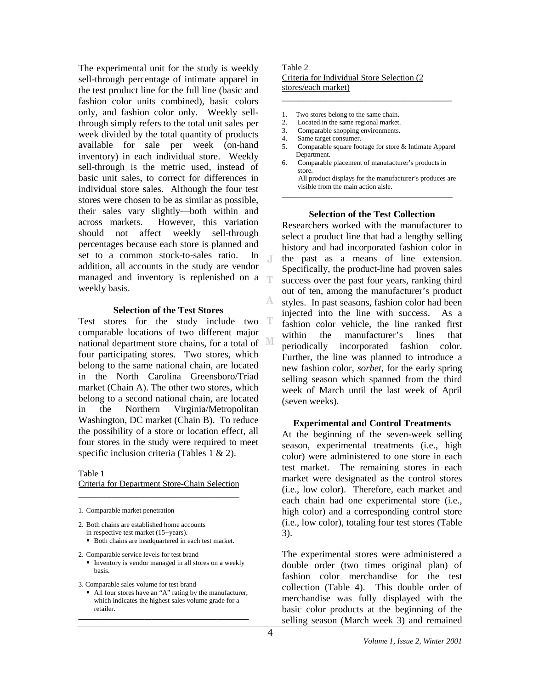The experimental unit for the study is weekly sell-through percentage of intimate apparel in the test product line for the full line (basic and fashion color units combined), basic colors only, and fashion color only. Weekly sellthrough simply refers to the total unit sales per week divided by the total quantity of products available for sale per week (on-hand inventory) in each individual store. Weekly sell-through is the metric used, instead of basic unit sales, to correct for differences in individual store sales. Although the four test stores were chosen to be as similar as possible, their sales vary slightly—both within and across markets. However, this variation should not affect weekly sell-through percentages because each store is planned and set to a common stock-to-sales ratio. In addition, all accounts in the study are vendor managed and inventory is replenished on a weekly basis.

## **Selection of the Test Stores**

Test stores for the study include two comparable locations of two different major national department store chains, for a total of four participating stores. Two stores, which belong to the same national chain, are located in the North Carolina Greensboro/Triad market (Chain A). The other two stores, which belong to a second national chain, are located in the Northern Virginia/Metropolitan Washington, DC market (Chain B). To reduce the possibility of a store or location effect, all four stores in the study were required to meet specific inclusion criteria (Tables 1 & 2).

#### Table 1

Criteria for Department Store-Chain Selection \_\_\_\_\_\_\_\_\_\_\_\_\_\_\_\_\_\_\_\_\_\_\_\_\_\_\_\_\_\_\_\_\_\_\_\_\_

1. Comparable market penetration

2. Both chains are established home accounts in respective test market (15+years).

Both chains are headquartered in each test market.

2. Comparable service levels for test brand

**I**nventory is vendor managed in all stores on a weekly basis.

3. Comparable sales volume for test brand

 All four stores have an "A" rating by the manufacturer, which indicates the highest sales volume grade for a retailer. **\_\_\_\_\_\_\_\_\_\_\_\_\_\_\_\_\_\_\_\_\_\_\_\_\_\_\_\_\_\_\_\_\_\_\_\_\_\_\_\_\_\_\_\_\_\_\_\_\_**

## Table 2 Criteria for Individual Store Selection (2 stores/each market)

- 1. Two stores belong to the same chain.<br>2. Located in the same regional market.
- Located in the same regional market.
- 3. Comparable shopping environments.
- 4. Same target consumer.
- 5. Comparable square footage for store & Intimate Apparel Department.

\_\_\_\_\_\_\_\_\_\_\_\_\_\_\_\_\_\_\_\_\_\_\_\_\_\_\_\_\_\_\_\_\_\_\_\_\_\_\_

6. Comparable placement of manufacturer's products in store.

All product displays for the manufacturer's produces are visible from the main action aisle.  $\mathcal{L}_\text{max}$  and the set of the set of the set of the set of the set of the set of the set of the set of the set of

## **Selection of the Test Collection**

Researchers worked with the manufacturer to select a product line that had a lengthy selling history and had incorporated fashion color in the past as a means of line extension. Specifically, the product-line had proven sales success over the past four years, ranking third out of ten, among the manufacturer's product styles. In past seasons, fashion color had been injected into the line with success. As a fashion color vehicle, the line ranked first within the manufacturer's lines that periodically incorporated fashion color. Further, the line was planned to introduce a new fashion color, *sorbet*, for the early spring selling season which spanned from the third week of March until the last week of April (seven weeks).

## **Experimental and Control Treatments**

At the beginning of the seven-week selling season, experimental treatments (i.e., high color) were administered to one store in each test market. The remaining stores in each market were designated as the control stores (i.e., low color). Therefore, each market and each chain had one experimental store (i.e., high color) and a corresponding control store (i.e., low color), totaling four test stores (Table 3).

The experimental stores were administered a double order (two times original plan) of fashion color merchandise for the test collection (Table 4). This double order of merchandise was fully displayed with the basic color products at the beginning of the selling season (March week 3) and remained

 $\mathbb{I}$ 

T

A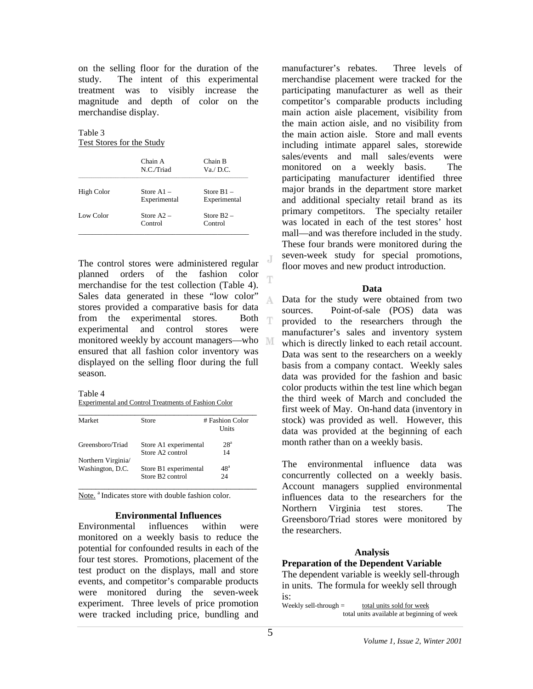on the selling floor for the duration of the study. The intent of this experimental treatment was to visibly increase the magnitude and depth of color on the merchandise display.

Table 3 Test Stores for the Study

|            | Chain A<br>N.C./Triad        | Chain B<br>Va./ D.C.         |
|------------|------------------------------|------------------------------|
| High Color | Store $A1 -$<br>Experimental | Store $B1 -$<br>Experimental |
| Low Color  | Store $A2 -$<br>Control      | Store $B2 -$<br>Control      |

The control stores were administered regular planned orders of the fashion color merchandise for the test collection (Table 4). Sales data generated in these "low color" stores provided a comparative basis for data from the experimental stores. Both  $\blacksquare$ experimental and control stores were monitored weekly by account managers—who ensured that all fashion color inventory was displayed on the selling floor during the full season.

Table 4

Experimental and Control Treatments of Fashion Color

| Market            | Store                        | # Fashion Color<br>Units |
|-------------------|------------------------------|--------------------------|
| Greensboro/Triad  | Store A1 experimental        | 28 <sup>a</sup>          |
| Northern Virginia | Store A <sub>2</sub> control | 14                       |
| Washington, D.C.  | Store B1 experimental        | $48^{\rm a}$             |
|                   | Store B <sub>2</sub> control | 24                       |

Note.<sup>a</sup> Indicates store with double fashion color.

## **Environmental Influences**

Environmental influences within were monitored on a weekly basis to reduce the potential for confounded results in each of the four test stores. Promotions, placement of the test product on the displays, mall and store events, and competitor's comparable products were monitored during the seven-week experiment. Three levels of price promotion were tracked including price, bundling and manufacturer's rebates. Three levels of merchandise placement were tracked for the participating manufacturer as well as their competitor's comparable products including main action aisle placement, visibility from the main action aisle, and no visibility from the main action aisle. Store and mall events including intimate apparel sales, storewide sales/events and mall sales/events were monitored on a weekly basis. The participating manufacturer identified three major brands in the department store market and additional specialty retail brand as its primary competitors. The specialty retailer was located in each of the test stores' host mall—and was therefore included in the study. These four brands were monitored during the seven-week study for special promotions, floor moves and new product introduction.

## **Data**

Data for the study were obtained from two A. sources. Point-of-sale (POS) data was provided to the researchers through the manufacturer's sales and inventory system which is directly linked to each retail account. Data was sent to the researchers on a weekly basis from a company contact. Weekly sales data was provided for the fashion and basic color products within the test line which began the third week of March and concluded the first week of May. On-hand data (inventory in stock) was provided as well. However, this data was provided at the beginning of each month rather than on a weekly basis.

The environmental influence data was concurrently collected on a weekly basis. Account managers supplied environmental influences data to the researchers for the Northern Virginia test stores. The Greensboro/Triad stores were monitored by the researchers.

# **Analysis**

# **Preparation of the Dependent Variable**

The dependent variable is weekly sell-through in units. The formula for weekly sell through is:

Weekly sell-through  $=$  total units sold for week total units available at beginning of week

T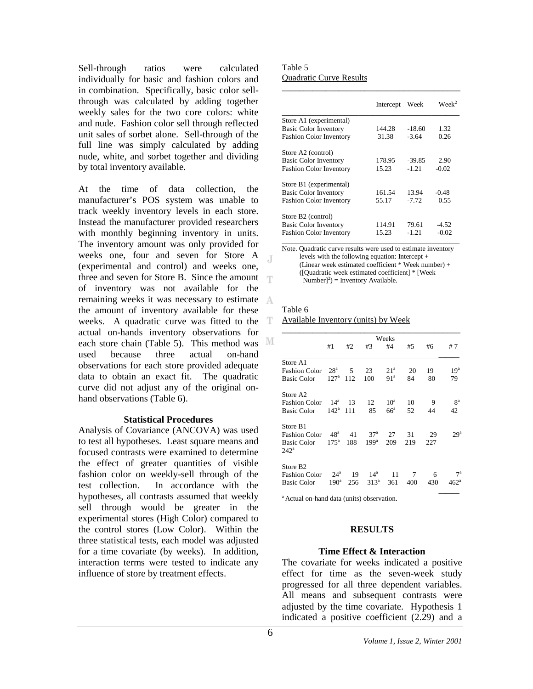Sell-through ratios were calculated individually for basic and fashion colors and in combination. Specifically, basic color sellthrough was calculated by adding together weekly sales for the two core colors: white and nude. Fashion color sell through reflected unit sales of sorbet alone. Sell-through of the full line was simply calculated by adding nude, white, and sorbet together and dividing by total inventory available.

At the time of data collection, the manufacturer's POS system was unable to track weekly inventory levels in each store. Instead the manufacturer provided researchers with monthly beginning inventory in units. The inventory amount was only provided for weeks one, four and seven for Store A (experimental and control) and weeks one, three and seven for Store B. Since the amount of inventory was not available for the remaining weeks it was necessary to estimate the amount of inventory available for these weeks. A quadratic curve was fitted to the T. actual on-hands inventory observations for each store chain (Table 5). This method was MI used because three actual on-hand observations for each store provided adequate data to obtain an exact fit. The quadratic curve did not adjust any of the original onhand observations (Table 6).

## **Statistical Procedures**

Analysis of Covariance (ANCOVA) was used to test all hypotheses. Least square means and focused contrasts were examined to determine the effect of greater quantities of visible fashion color on weekly-sell through of the test collection. In accordance with the hypotheses, all contrasts assumed that weekly sell through would be greater in the experimental stores (High Color) compared to the control stores (Low Color). Within the three statistical tests, each model was adjusted for a time covariate (by weeks). In addition, interaction terms were tested to indicate any influence of store by treatment effects.

Table 5 Quadratic Curve Results

|                                | Intercept | Week     | $\text{Werk}^2$ |
|--------------------------------|-----------|----------|-----------------|
| Store A1 (experimental)        |           |          |                 |
| <b>Basic Color Inventory</b>   | 144.28    | $-18.60$ | 1.32            |
| <b>Fashion Color Inventory</b> | 31.38     | $-3.64$  | 0.26            |
| Store A2 (control)             |           |          |                 |
| <b>Basic Color Inventory</b>   | 178.95    | $-39.85$ | 2.90            |
| <b>Fashion Color Inventory</b> | 15.23     | $-1.21$  | $-0.02$         |
| Store B1 (experimental)        |           |          |                 |
| <b>Basic Color Inventory</b>   | 161.54    | 13.94    | $-0.48$         |
| <b>Fashion Color Inventory</b> | 55.17     | $-7.72$  | 0.55            |
| Store B2 (control)             |           |          |                 |
| <b>Basic Color Inventory</b>   | 114.91    | 79.61    | $-4.52$         |
| <b>Fashion Color Inventory</b> | 15.23     | $-1.21$  | $-0.02$         |

Note. Quadratic curve results were used to estimate inventory levels with the following equation: Intercept + (Linear week estimated coefficient \* Week number) + ([Quadratic week estimated coefficient] \* [Week  $Number$ <sup>2</sup> $)$  = Inventory Available.

#### Table 6

 $\Box$ 

Available Inventory (units) by Week

|                                     |                  |     |                  | Weeks           |     |     |                 |
|-------------------------------------|------------------|-----|------------------|-----------------|-----|-----|-----------------|
|                                     | #1               | #2  | #3               | #4              | #5  | #6  | #7              |
| Store A1                            |                  |     |                  |                 |     |     |                 |
| <b>Fashion Color</b>                | 28 <sup>a</sup>  | 5   | 23               | 21 <sup>a</sup> | 20  | 19  | 19 <sup>a</sup> |
| <b>Basic Color</b>                  | 127 <sup>a</sup> | 112 | 100              | 91 <sup>a</sup> | 84  | 80  | 79              |
| Store A <sub>2</sub>                |                  |     |                  |                 |     |     |                 |
| <b>Fashion Color</b>                | 14 <sup>a</sup>  | 13  | 12               | $10^a$          | 10  | 9   | 8 <sup>a</sup>  |
| <b>Basic Color</b>                  | $142^{\circ}$    | 111 | 85               | $66^{\circ}$    | 52  | 44  | 42              |
| Store B1                            |                  |     |                  |                 |     |     |                 |
| <b>Fashion Color</b>                | 48 <sup>a</sup>  | 41  | 37 <sup>a</sup>  | 27              | 31  | 29  | 29 <sup>a</sup> |
| <b>Basic Color</b><br>$242^{\rm a}$ | $175^{\circ}$    | 188 | 199 <sup>a</sup> | 209             | 219 | 227 |                 |
| Store B <sub>2</sub>                |                  |     |                  |                 |     |     |                 |
| <b>Fashion Color</b>                | $24^{\circ}$     | 19  | $14^a$           | 11              | 7   | 6   | $7^{\rm a}$     |
| <b>Basic Color</b>                  | $190^{\circ}$    | 256 | $313^a$          | 361             | 400 | 430 | $462^{\circ}$   |

<sup>a</sup> Actual on-hand data (units) observation.

## **RESULTS**

## **Time Effect & Interaction**

The covariate for weeks indicated a positive effect for time as the seven-week study progressed for all three dependent variables. All means and subsequent contrasts were adjusted by the time covariate. Hypothesis 1 indicated a positive coefficient (2.29) and a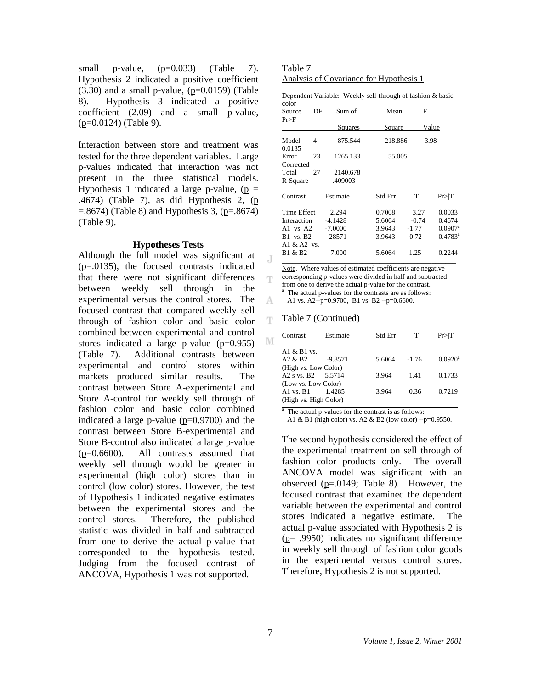small p-value,  $(p=0.033)$  (Table 7). Hypothesis 2 indicated a positive coefficient  $(3.30)$  and a small p-value,  $(p=0.0159)$  (Table 8). Hypothesis 3 indicated a positive coefficient (2.09) and a small p-value, (p=0.0124) (Table 9).

Interaction between store and treatment was tested for the three dependent variables. Large p-values indicated that interaction was not present in the three statistical models. Hypothesis 1 indicated a large p-value,  $(p =$ .4674) (Table 7), as did Hypothesis 2, (p  $=$ .8674) (Table 8) and Hypothesis 3, (p=.8674) (Table 9).

## **Hypotheses Tests**

Although the full model was significant at (p=.0135), the focused contrasts indicated that there were not significant differences between weekly sell through in the experimental versus the control stores. The focused contrast that compared weekly sell through of fashion color and basic color combined between experimental and control stores indicated a large p-value  $(p=0.955)$ (Table 7). Additional contrasts between experimental and control stores within markets produced similar results. The contrast between Store A-experimental and Store A-control for weekly sell through of fashion color and basic color combined indicated a large p-value  $(p=0.9700)$  and the contrast between Store B-experimental and Store B-control also indicated a large p-value (p=0.6600). All contrasts assumed that weekly sell through would be greater in experimental (high color) stores than in control (low color) stores. However, the test of Hypothesis 1 indicated negative estimates between the experimental stores and the control stores. Therefore, the published statistic was divided in half and subtracted from one to derive the actual p-value that corresponded to the hypothesis tested. Judging from the focused contrast of ANCOVA, Hypothesis 1 was not supported.

Table 7 Analysis of Covariance for Hypothesis 1

|                         |    | Dependent Variable: Weekly sell-through of fashion & basic |         |         |                       |
|-------------------------|----|------------------------------------------------------------|---------|---------|-----------------------|
| color                   |    |                                                            |         |         |                       |
| Source                  | DF | Sum of                                                     | Mean    | F       |                       |
| Pr>F                    |    |                                                            |         |         |                       |
|                         |    | Squares                                                    | Square  |         | Value                 |
|                         |    |                                                            |         |         |                       |
| Model                   | 4  | 875.544                                                    | 218.886 | 3.98    |                       |
| 0.0135                  |    |                                                            |         |         |                       |
| Error                   | 23 | 1265.133                                                   | 55.005  |         |                       |
| Corrected               |    |                                                            |         |         |                       |
| Total                   | 27 | 2140.678                                                   |         |         |                       |
| R-Square                |    | .409003                                                    |         |         |                       |
|                         |    |                                                            |         |         |                       |
| Contrast                |    | Estimate                                                   | Std Err | т       | Pr >  T               |
|                         |    |                                                            |         |         |                       |
| Time Effect             |    | 2.294                                                      | 0.7008  | 3.27    | 0.0033                |
| Interaction             |    | $-4.1428$                                                  | 5.6064  | $-0.74$ | 0.4674                |
| A <sub>1</sub> vs. $A2$ |    | $-7.0000$                                                  | 3.9643  | $-1.77$ | $0.0907$ <sup>a</sup> |
| <b>B1</b> vs. <b>B2</b> |    | $-28571$                                                   | 3.9643  | $-0.72$ | $0.4783^{\circ}$      |
| A1 $&$ A2 vs.           |    |                                                            |         |         |                       |
| B1 & B2                 |    | 7.000                                                      | 5.6064  | 1.25    | 0.2244                |
|                         |    |                                                            |         |         |                       |

Note. Where values of estimated coefficients are negative corresponding p-values were divided in half and subtracted from one to derive the actual p-value for the contrast. a The actual p-values for the contrasts are as follows:

A1 vs. A2--p=0.9700, B1 vs. B2 --p=0.6600.

#### Table 7 (Continued) T.

J

Ŧ

A

| Contrast                                   | Estimate  | Std Err |         |                       |
|--------------------------------------------|-----------|---------|---------|-----------------------|
|                                            |           |         |         |                       |
| A1 $\&$ B1 vs.                             |           |         |         |                       |
| A <sub>2</sub> $\&$ B <sub>2</sub>         | $-9.8571$ | 5.6064  | $-1.76$ | $0.0920$ <sup>a</sup> |
| (High vs. Low Color)                       |           |         |         |                       |
| A <sub>2</sub> s vs. B <sub>2</sub> 5.5714 |           | 3.964   | 1.41    | 0.1733                |
| (Low vs. Low Color)                        |           |         |         |                       |
| A <sub>1</sub> vs. $R_1$                   | 14285     | 3.964   | 0.36    | 0.7219                |
| (High vs. High Color)                      |           |         |         |                       |

<sup>a</sup> The actual p-values for the contrast is as follows:

A1 & B1 (high color) vs. A2 & B2 (low color) --p=0.9550.

The second hypothesis considered the effect of the experimental treatment on sell through of fashion color products only. The overall ANCOVA model was significant with an observed (p=.0149; Table 8). However, the focused contrast that examined the dependent variable between the experimental and control stores indicated a negative estimate. The actual p-value associated with Hypothesis 2 is (p= .9950) indicates no significant difference in weekly sell through of fashion color goods in the experimental versus control stores. Therefore, Hypothesis 2 is not supported.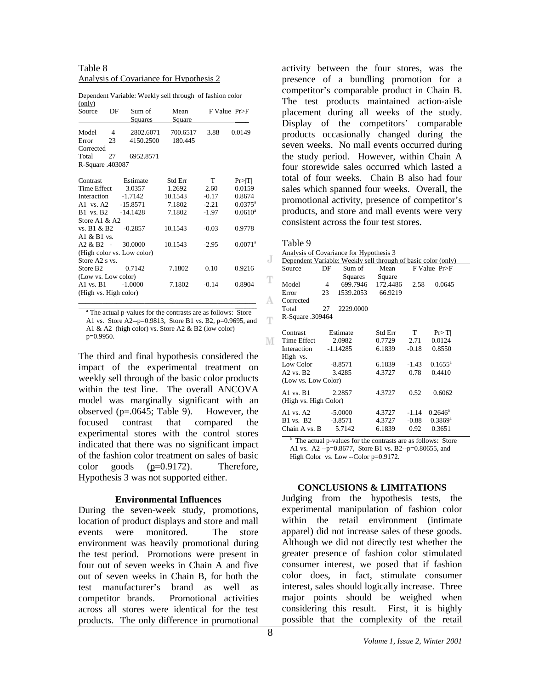Table 8 Analysis of Covariance for Hypothesis 2

| (only)                  |    |                            |          |         |                       |
|-------------------------|----|----------------------------|----------|---------|-----------------------|
| Source                  | DF | Sum of                     | Mean     |         | $F$ Value $Pr > F$    |
|                         |    | Squares                    | Square   |         |                       |
| Model                   | 4  | 2802.6071                  | 700.6517 | 3.88    | 0.0149                |
| Error                   | 23 | 4150.2500                  | 180.445  |         |                       |
| Corrected               |    |                            |          |         |                       |
| Total                   | 27 | 6952.8571                  |          |         |                       |
| R-Square .403087        |    |                            |          |         |                       |
|                         |    |                            |          |         |                       |
| Contrast                |    | Estimate                   | Std Err  | T       | Pr> T                 |
| <b>Time Effect</b>      |    | 3.0357                     | 1.2692   | 2.60    | 0.0159                |
| Interaction             |    | $-1.7142$                  | 10.1543  | $-0.17$ | 0.8674                |
| A <sub>1</sub> vs. $A2$ |    | $-15.8571$                 | 7.1802   | $-2.21$ | $0.0375^{\rm a}$      |
| <b>B1</b> vs. <b>B2</b> |    | $-14.1428$                 | 7.1802   | $-1.97$ | $0.0610^a$            |
| Store A1 & A2           |    |                            |          |         |                       |
| vs. B1 & B2             |    | $-0.2857$                  | 10.1543  | $-0.03$ | 0.9778                |
| A1 $\&$ B1 vs.          |    |                            |          |         |                       |
| $A2 & B2 -$             |    | 30.0000                    | 10.1543  | $-2.95$ | $0.0071$ <sup>a</sup> |
|                         |    | (High color vs. Low color) |          |         |                       |
| Store A2 s vs.          |    |                            |          |         |                       |
| Store B <sub>2</sub>    |    | 0.7142                     | 7.1802   | 0.10    | 0.9216                |
| (Low vs. Low color)     |    |                            |          |         |                       |
| $A1$ vs. $B1$           |    | $-1.0000$                  | 7.1802   | $-0.14$ | 0.8904                |
| (High vs. High color)   |    |                            |          |         |                       |
|                         |    |                            |          |         |                       |

Dependent Variable: Weekly sell through of fashion color (only)

 $\mathcal{L}_\text{max}$  , and the contract of the contract of the contract of the contract of the contract of the contract of the contract of the contract of the contract of the contract of the contract of the contract of the contr a The actual p-values for the contrasts are as follows: Store A1 vs. Store A2--p=0.9813, Store B1 vs. B2, p=0.9695, and A1 & A2 (high color) vs. Store A2 & B2 (low color) p=0.9950.

The third and final hypothesis considered the impact of the experimental treatment on weekly sell through of the basic color products within the test line. The overall ANCOVA model was marginally significant with an observed (p=.0645; Table 9). However, the focused contrast that compared the experimental stores with the control stores indicated that there was no significant impact of the fashion color treatment on sales of basic color goods (p=0.9172). Therefore, Hypothesis 3 was not supported either.

#### **Environmental Influences**

During the seven-week study, promotions, location of product displays and store and mall events were monitored. The store environment was heavily promotional during the test period. Promotions were present in four out of seven weeks in Chain A and five out of seven weeks in Chain B, for both the test manufacturer's brand as well as competitor brands. Promotional activities across all stores were identical for the test products. The only difference in promotional

activity between the four stores, was the presence of a bundling promotion for a competitor's comparable product in Chain B. The test products maintained action-aisle placement during all weeks of the study. Display of the competitors' comparable products occasionally changed during the seven weeks. No mall events occurred during the study period. However, within Chain A four storewide sales occurred which lasted a total of four weeks. Chain B also had four sales which spanned four weeks. Overall, the promotional activity, presence of competitor's products, and store and mall events were very consistent across the four test stores.

| able |  |
|------|--|
|------|--|

Analysis of Covariance for Hypothesis 3

|   | Analysis of Covariance for Hypothesis 5                       |                |                |          |         |                       |  |  |
|---|---------------------------------------------------------------|----------------|----------------|----------|---------|-----------------------|--|--|
| J | Dependent Variable: Weekly sell through of basic color (only) |                |                |          |         |                       |  |  |
|   | Source                                                        | DF             | Sum of         | Mean     |         | $F$ Value $Pr$ $>F$   |  |  |
| T |                                                               |                | <b>Squares</b> | Square   |         |                       |  |  |
|   | Model                                                         | $\overline{4}$ | 699.7946       | 172.4486 | 2.58    | 0.0645                |  |  |
|   | Error                                                         | 23             | 1539.2053      | 66.9219  |         |                       |  |  |
|   | Corrected                                                     |                |                |          |         |                       |  |  |
|   | Total                                                         | 27             | 2229.0000      |          |         |                       |  |  |
| T | R-Square .309464                                              |                |                |          |         |                       |  |  |
|   | Contrast                                                      |                | Estimate       | Std Err  | T       | Pr >  T               |  |  |
| М | Time Effect                                                   |                | 2.0982         | 0.7729   | 2.71    | 0.0124                |  |  |
|   | Interaction                                                   |                | $-1.14285$     | 6.1839   | $-0.18$ | 0.8550                |  |  |
|   | High vs.                                                      |                |                |          |         |                       |  |  |
|   | Low Color                                                     |                | $-8.8571$      | 6.1839   | $-1.43$ | $0.1655^{\rm a}$      |  |  |
|   | $A2$ vs. $B2$                                                 |                | 3.4285         | 4.3727   | 0.78    | 0.4410                |  |  |
|   | (Low vs. Low Color)                                           |                |                |          |         |                       |  |  |
|   | $A1$ vs. $B1$                                                 |                | 2.2857         | 4.3727   | 0.52    | 0.6062                |  |  |
|   | (High vs. High Color)                                         |                |                |          |         |                       |  |  |
|   | A <sub>1</sub> vs. $A2$                                       |                | $-5.0000$      | 4.3727   | $-1.14$ | $0.2646^{\circ}$      |  |  |
|   | $B1$ vs. $B2$                                                 |                | $-3.8571$      | 4.3727   | $-0.88$ | $0.3869$ <sup>a</sup> |  |  |
|   | Chain A vs. B                                                 |                | 5.7142         | 6.1839   | 0.92    | 0.3651                |  |  |

<sup>a</sup> The actual p-values for the contrasts are as follows: Store A1 vs. A2 --p=0.8677, Store B1 vs. B2--p=0.80655, and High Color vs. Low --Color p=0.9172.

## **CONCLUSIONS & LIMITATIONS**

Judging from the hypothesis tests, the experimental manipulation of fashion color within the retail environment (intimate apparel) did not increase sales of these goods. Although we did not directly test whether the greater presence of fashion color stimulated consumer interest, we posed that if fashion color does, in fact, stimulate consumer interest, sales should logically increase. Three major points should be weighed when considering this result. First, it is highly possible that the complexity of the retail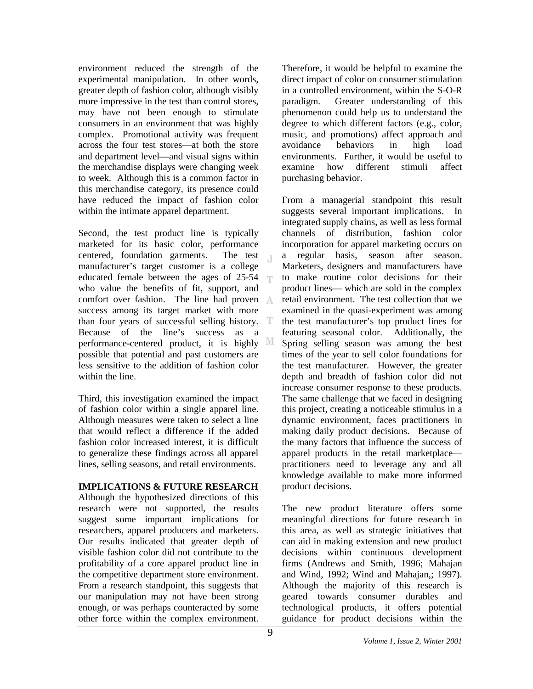environment reduced the strength of the experimental manipulation. In other words, greater depth of fashion color, although visibly more impressive in the test than control stores, may have not been enough to stimulate consumers in an environment that was highly complex. Promotional activity was frequent across the four test stores—at both the store and department level—and visual signs within the merchandise displays were changing week to week. Although this is a common factor in this merchandise category, its presence could have reduced the impact of fashion color within the intimate apparel department.

Second, the test product line is typically marketed for its basic color, performance centered, foundation garments. The test T. manufacturer's target customer is a college educated female between the ages of 25-54 ΤР. who value the benefits of fit, support, and comfort over fashion. The line had proven success among its target market with more than four years of successful selling history. T Because of the line's success as a performance-centered product, it is highly possible that potential and past customers are less sensitive to the addition of fashion color within the line.

Third, this investigation examined the impact of fashion color within a single apparel line. Although measures were taken to select a line that would reflect a difference if the added fashion color increased interest, it is difficult to generalize these findings across all apparel lines, selling seasons, and retail environments.

# **IMPLICATIONS & FUTURE RESEARCH**

Although the hypothesized directions of this research were not supported, the results suggest some important implications for researchers, apparel producers and marketers. Our results indicated that greater depth of visible fashion color did not contribute to the profitability of a core apparel product line in the competitive department store environment. From a research standpoint, this suggests that our manipulation may not have been strong enough, or was perhaps counteracted by some other force within the complex environment.

Therefore, it would be helpful to examine the direct impact of color on consumer stimulation in a controlled environment, within the S-O-R paradigm. Greater understanding of this phenomenon could help us to understand the degree to which different factors (e.g., color, music, and promotions) affect approach and avoidance behaviors in high load environments. Further, it would be useful to examine how different stimuli affect purchasing behavior.

From a managerial standpoint this result suggests several important implications. In integrated supply chains, as well as less formal channels of distribution, fashion color incorporation for apparel marketing occurs on a regular basis, season after season. Marketers, designers and manufacturers have to make routine color decisions for their product lines— which are sold in the complex retail environment. The test collection that we examined in the quasi-experiment was among the test manufacturer's top product lines for featuring seasonal color. Additionally, the Spring selling season was among the best times of the year to sell color foundations for the test manufacturer. However, the greater depth and breadth of fashion color did not increase consumer response to these products. The same challenge that we faced in designing this project, creating a noticeable stimulus in a dynamic environment, faces practitioners in making daily product decisions. Because of the many factors that influence the success of apparel products in the retail marketplace practitioners need to leverage any and all knowledge available to make more informed product decisions.

The new product literature offers some meaningful directions for future research in this area, as well as strategic initiatives that can aid in making extension and new product decisions within continuous development firms (Andrews and Smith, 1996; Mahajan and Wind, 1992; Wind and Mahajan,; 1997). Although the majority of this research is geared towards consumer durables and technological products, it offers potential guidance for product decisions within the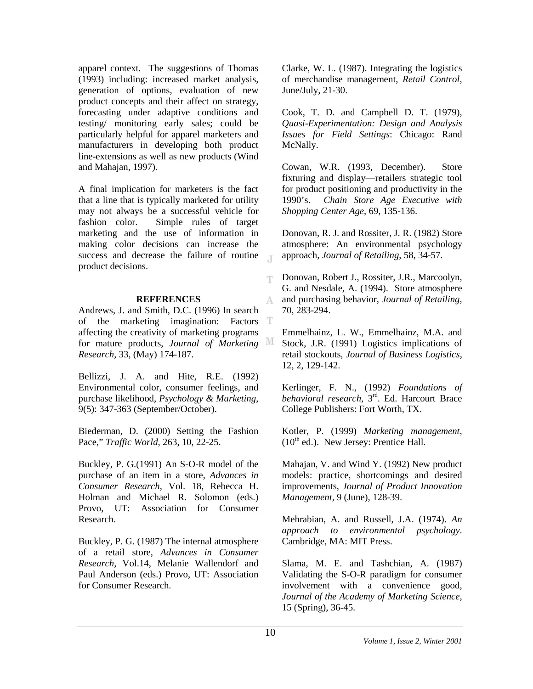apparel context. The suggestions of Thomas (1993) including: increased market analysis, generation of options, evaluation of new product concepts and their affect on strategy, forecasting under adaptive conditions and testing/ monitoring early sales; could be particularly helpful for apparel marketers and manufacturers in developing both product line-extensions as well as new products (Wind and Mahajan, 1997).

A final implication for marketers is the fact that a line that is typically marketed for utility may not always be a successful vehicle for fashion color. Simple rules of target marketing and the use of information in making color decisions can increase the success and decrease the failure of routine  $\top$ product decisions.

# **REFERENCES**

Andrews, J. and Smith, D.C. (1996) In search of the marketing imagination: Factors affecting the creativity of marketing programs for mature products, *Journal of Marketing Research*, 33, (May) 174-187.

Bellizzi, J. A. and Hite, R.E. (1992) Environmental color, consumer feelings, and purchase likelihood, *Psychology & Marketing*, 9(5): 347-363 (September/October).

Biederman, D. (2000) Setting the Fashion Pace," *Traffic World*, 263, 10, 22-25.

Buckley, P. G.(1991) An S-O-R model of the purchase of an item in a store, *Advances in Consumer Research*, Vol. 18, Rebecca H. Holman and Michael R. Solomon (eds.) Provo, UT: Association for Consumer Research.

Buckley, P. G. (1987) The internal atmosphere of a retail store, *Advances in Consumer Research*, Vol.14, Melanie Wallendorf and Paul Anderson (eds.) Provo, UT: Association for Consumer Research.

Clarke, W. L. (1987). Integrating the logistics of merchandise management, *Retail Control*, June/July, 21-30.

Cook, T. D. and Campbell D. T. (1979), *Quasi-Experimentation: Design and Analysis Issues for Field Settings*: Chicago: Rand McNally.

Cowan, W.R. (1993, December). Store fixturing and display—retailers strategic tool for product positioning and productivity in the 1990's. *Chain Store Age Executive with Shopping Center Age*, 69, 135-136.

Donovan, R. J. and Rossiter, J. R. (1982) Store atmosphere: An environmental psychology approach, *Journal of Retailing*, 58, 34-57.

Donovan, Robert J., Rossiter, J.R., Marcoolyn, T. G. and Nesdale, A. (1994). Store atmosphere and purchasing behavior, *Journal of Retailing*, A. 70, 283-294.

Emmelhainz, L. W., Emmelhainz, M.A. and Stock, J.R. (1991) Logistics implications of retail stockouts, *Journal of Business Logistics*, 12, 2, 129-142.

Kerlinger, F. N., (1992) *Foundations of behavioral research*, 3rd. Ed. Harcourt Brace College Publishers: Fort Worth, TX.

Kotler, P. (1999) *Marketing management*,  $(10<sup>th</sup>$  ed.). New Jersey: Prentice Hall.

Mahajan, V. and Wind Y. (1992) New product models: practice, shortcomings and desired improvements, *Journal of Product Innovation Management*, 9 (June), 128-39.

Mehrabian, A. and Russell, J.A. (1974). *An approach to environmental psychology*. Cambridge, MA: MIT Press.

Slama, M. E. and Tashchian, A. (1987) Validating the S-O-R paradigm for consumer involvement with a convenience good, *Journal of the Academy of Marketing Science*, 15 (Spring), 36-45.